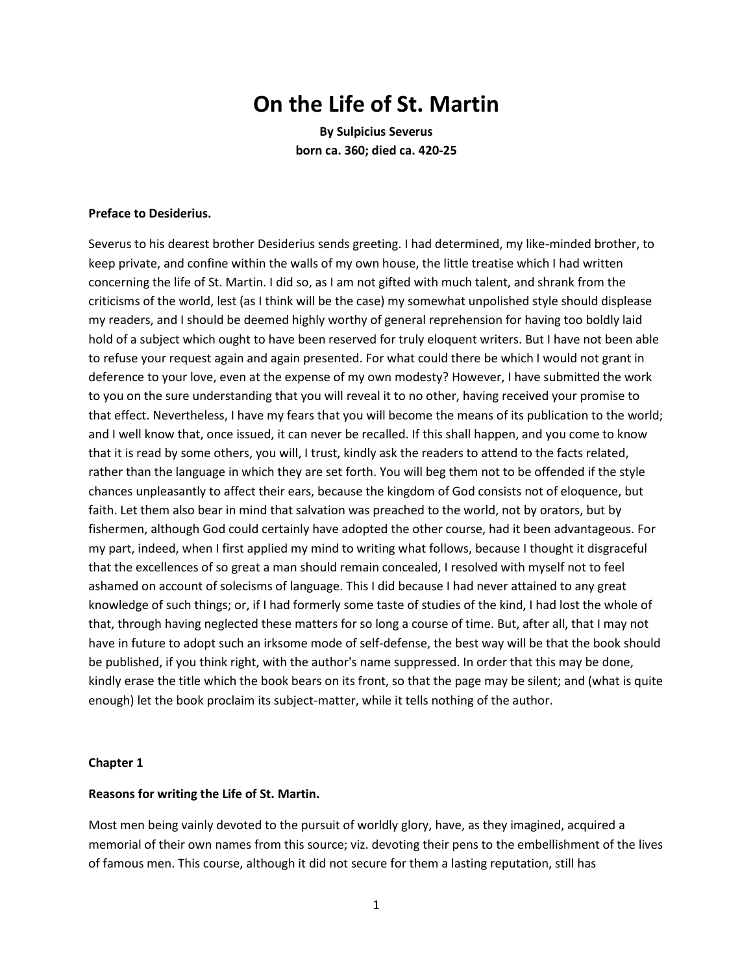# **On the Life of St. Martin**

**By Sulpicius Severus born ca. 360; died ca. 420-25**

## **Preface to Desiderius.**

Severus to his dearest brother Desiderius sends greeting. I had determined, my like-minded brother, to keep private, and confine within the walls of my own house, the little treatise which I had written concerning the life of St. Martin. I did so, as I am not gifted with much talent, and shrank from the criticisms of the world, lest (as I think will be the case) my somewhat unpolished style should displease my readers, and I should be deemed highly worthy of general reprehension for having too boldly laid hold of a subject which ought to have been reserved for truly eloquent writers. But I have not been able to refuse your request again and again presented. For what could there be which I would not grant in deference to your love, even at the expense of my own modesty? However, I have submitted the work to you on the sure understanding that you will reveal it to no other, having received your promise to that effect. Nevertheless, I have my fears that you will become the means of its publication to the world; and I well know that, once issued, it can never be recalled. If this shall happen, and you come to know that it is read by some others, you will, I trust, kindly ask the readers to attend to the facts related, rather than the language in which they are set forth. You will beg them not to be offended if the style chances unpleasantly to affect their ears, because the kingdom of God consists not of eloquence, but faith. Let them also bear in mind that salvation was preached to the world, not by orators, but by fishermen, although God could certainly have adopted the other course, had it been advantageous. For my part, indeed, when I first applied my mind to writing what follows, because I thought it disgraceful that the excellences of so great a man should remain concealed, I resolved with myself not to feel ashamed on account of solecisms of language. This I did because I had never attained to any great knowledge of such things; or, if I had formerly some taste of studies of the kind, I had lost the whole of that, through having neglected these matters for so long a course of time. But, after all, that I may not have in future to adopt such an irksome mode of self-defense, the best way will be that the book should be published, if you think right, with the author's name suppressed. In order that this may be done, kindly erase the title which the book bears on its front, so that the page may be silent; and (what is quite enough) let the book proclaim its subject-matter, while it tells nothing of the author.

## **Chapter 1**

# **Reasons for writing the Life of St. Martin.**

Most men being vainly devoted to the pursuit of worldly glory, have, as they imagined, acquired a memorial of their own names from this source; viz. devoting their pens to the embellishment of the lives of famous men. This course, although it did not secure for them a lasting reputation, still has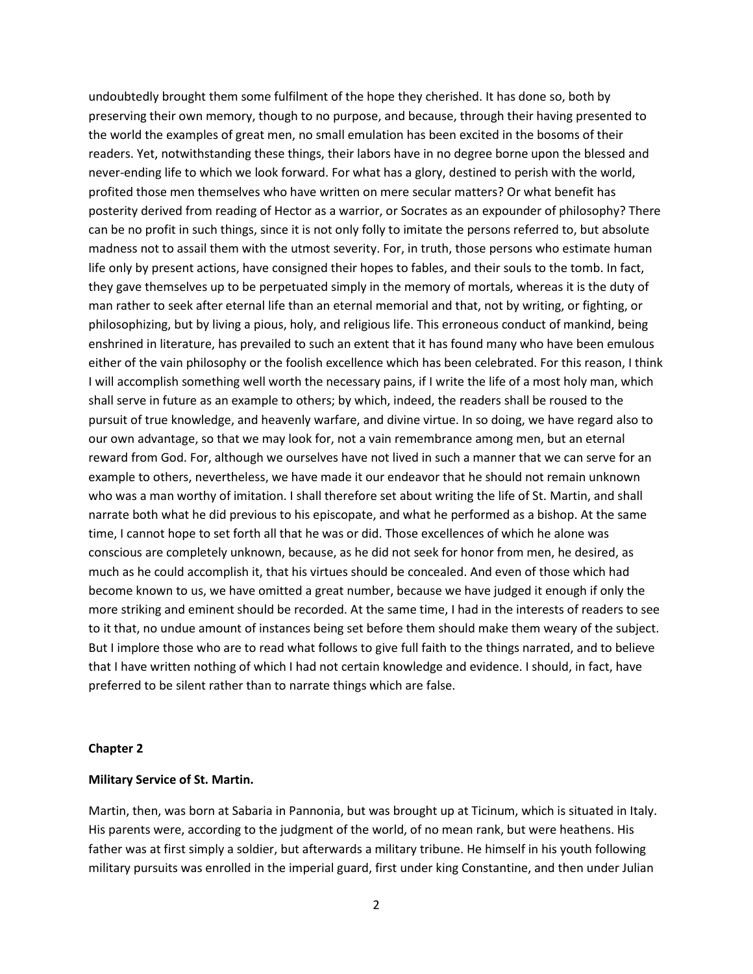undoubtedly brought them some fulfilment of the hope they cherished. It has done so, both by preserving their own memory, though to no purpose, and because, through their having presented to the world the examples of great men, no small emulation has been excited in the bosoms of their readers. Yet, notwithstanding these things, their labors have in no degree borne upon the blessed and never-ending life to which we look forward. For what has a glory, destined to perish with the world, profited those men themselves who have written on mere secular matters? Or what benefit has posterity derived from reading of Hector as a warrior, or Socrates as an expounder of philosophy? There can be no profit in such things, since it is not only folly to imitate the persons referred to, but absolute madness not to assail them with the utmost severity. For, in truth, those persons who estimate human life only by present actions, have consigned their hopes to fables, and their souls to the tomb. In fact, they gave themselves up to be perpetuated simply in the memory of mortals, whereas it is the duty of man rather to seek after eternal life than an eternal memorial and that, not by writing, or fighting, or philosophizing, but by living a pious, holy, and religious life. This erroneous conduct of mankind, being enshrined in literature, has prevailed to such an extent that it has found many who have been emulous either of the vain philosophy or the foolish excellence which has been celebrated. For this reason, I think I will accomplish something well worth the necessary pains, if I write the life of a most holy man, which shall serve in future as an example to others; by which, indeed, the readers shall be roused to the pursuit of true knowledge, and heavenly warfare, and divine virtue. In so doing, we have regard also to our own advantage, so that we may look for, not a vain remembrance among men, but an eternal reward from God. For, although we ourselves have not lived in such a manner that we can serve for an example to others, nevertheless, we have made it our endeavor that he should not remain unknown who was a man worthy of imitation. I shall therefore set about writing the life of St. Martin, and shall narrate both what he did previous to his episcopate, and what he performed as a bishop. At the same time, I cannot hope to set forth all that he was or did. Those excellences of which he alone was conscious are completely unknown, because, as he did not seek for honor from men, he desired, as much as he could accomplish it, that his virtues should be concealed. And even of those which had become known to us, we have omitted a great number, because we have judged it enough if only the more striking and eminent should be recorded. At the same time, I had in the interests of readers to see to it that, no undue amount of instances being set before them should make them weary of the subject. But I implore those who are to read what follows to give full faith to the things narrated, and to believe that I have written nothing of which I had not certain knowledge and evidence. I should, in fact, have preferred to be silent rather than to narrate things which are false.

#### **Chapter 2**

#### **Military Service of St. Martin.**

Martin, then, was born at Sabaria in Pannonia, but was brought up at Ticinum, which is situated in Italy. His parents were, according to the judgment of the world, of no mean rank, but were heathens. His father was at first simply a soldier, but afterwards a military tribune. He himself in his youth following military pursuits was enrolled in the imperial guard, first under king Constantine, and then under Julian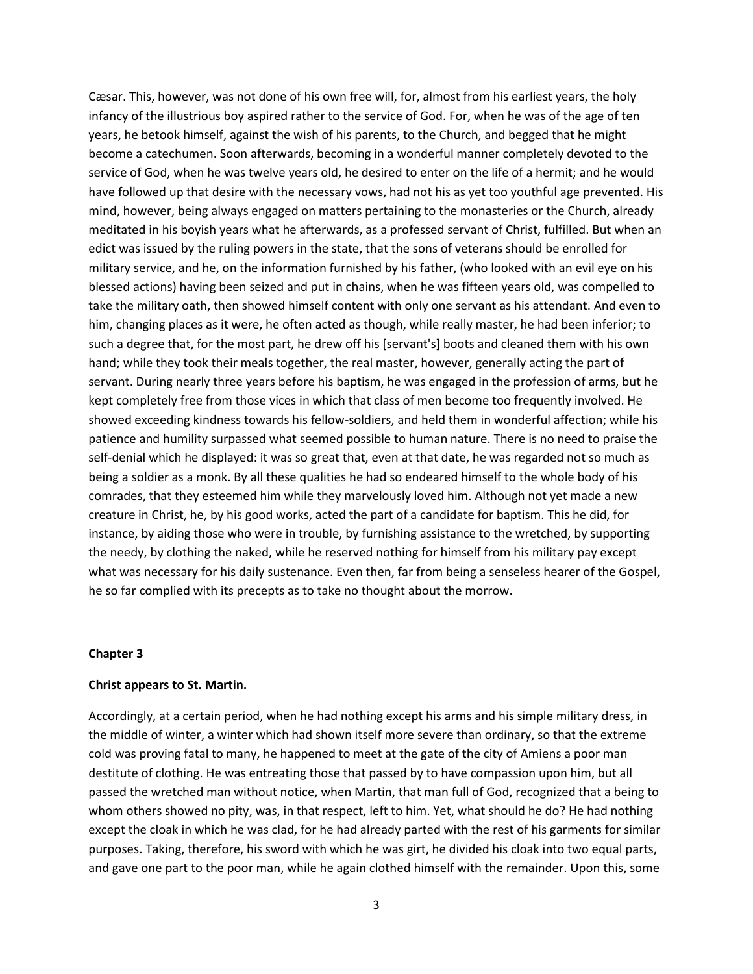Cæsar. This, however, was not done of his own free will, for, almost from his earliest years, the holy infancy of the illustrious boy aspired rather to the service of God. For, when he was of the age of ten years, he betook himself, against the wish of his parents, to the Church, and begged that he might become a catechumen. Soon afterwards, becoming in a wonderful manner completely devoted to the service of God, when he was twelve years old, he desired to enter on the life of a hermit; and he would have followed up that desire with the necessary vows, had not his as yet too youthful age prevented. His mind, however, being always engaged on matters pertaining to the monasteries or the Church, already meditated in his boyish years what he afterwards, as a professed servant of Christ, fulfilled. But when an edict was issued by the ruling powers in the state, that the sons of veterans should be enrolled for military service, and he, on the information furnished by his father, (who looked with an evil eye on his blessed actions) having been seized and put in chains, when he was fifteen years old, was compelled to take the military oath, then showed himself content with only one servant as his attendant. And even to him, changing places as it were, he often acted as though, while really master, he had been inferior; to such a degree that, for the most part, he drew off his [servant's] boots and cleaned them with his own hand; while they took their meals together, the real master, however, generally acting the part of servant. During nearly three years before his baptism, he was engaged in the profession of arms, but he kept completely free from those vices in which that class of men become too frequently involved. He showed exceeding kindness towards his fellow-soldiers, and held them in wonderful affection; while his patience and humility surpassed what seemed possible to human nature. There is no need to praise the self-denial which he displayed: it was so great that, even at that date, he was regarded not so much as being a soldier as a monk. By all these qualities he had so endeared himself to the whole body of his comrades, that they esteemed him while they marvelously loved him. Although not yet made a new creature in Christ, he, by his good works, acted the part of a candidate for baptism. This he did, for instance, by aiding those who were in trouble, by furnishing assistance to the wretched, by supporting the needy, by clothing the naked, while he reserved nothing for himself from his military pay except what was necessary for his daily sustenance. Even then, far from being a senseless hearer of the Gospel, he so far complied with its precepts as to take no thought about the morrow.

## **Chapter 3**

## **Christ appears to St. Martin.**

Accordingly, at a certain period, when he had nothing except his arms and his simple military dress, in the middle of winter, a winter which had shown itself more severe than ordinary, so that the extreme cold was proving fatal to many, he happened to meet at the gate of the city of Amiens a poor man destitute of clothing. He was entreating those that passed by to have compassion upon him, but all passed the wretched man without notice, when Martin, that man full of God, recognized that a being to whom others showed no pity, was, in that respect, left to him. Yet, what should he do? He had nothing except the cloak in which he was clad, for he had already parted with the rest of his garments for similar purposes. Taking, therefore, his sword with which he was girt, he divided his cloak into two equal parts, and gave one part to the poor man, while he again clothed himself with the remainder. Upon this, some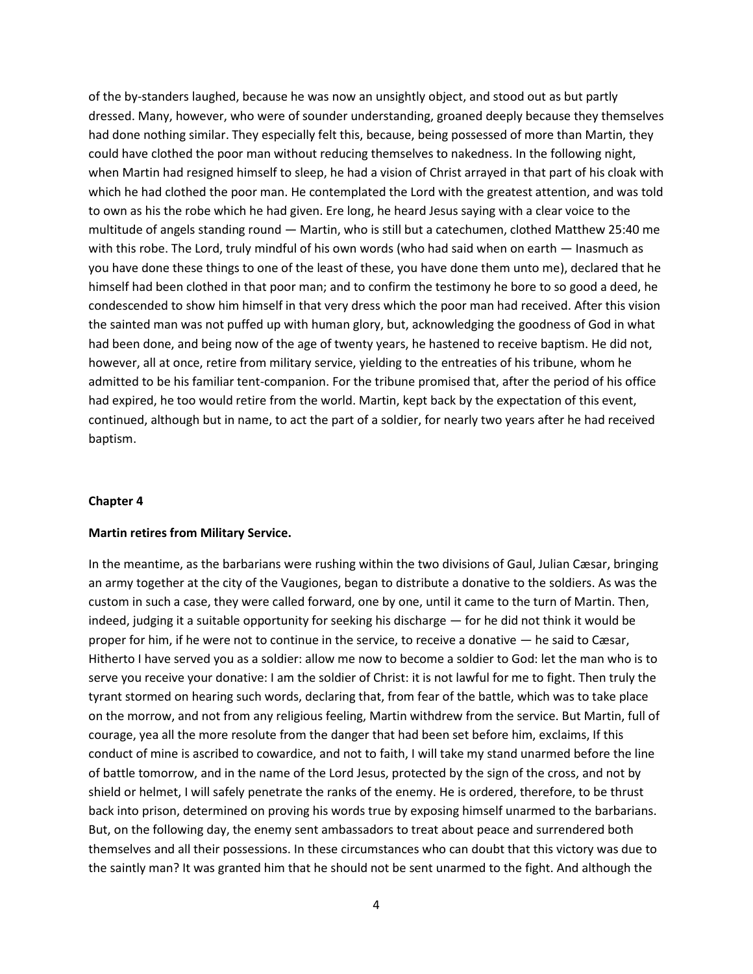of the by-standers laughed, because he was now an unsightly object, and stood out as but partly dressed. Many, however, who were of sounder understanding, groaned deeply because they themselves had done nothing similar. They especially felt this, because, being possessed of more than Martin, they could have clothed the poor man without reducing themselves to nakedness. In the following night, when Martin had resigned himself to sleep, he had a vision of Christ arrayed in that part of his cloak with which he had clothed the poor man. He contemplated the Lord with the greatest attention, and was told to own as his the robe which he had given. Ere long, he heard Jesus saying with a clear voice to the multitude of angels standing round — Martin, who is still but a catechumen, clothed Matthew 25:40 me with this robe. The Lord, truly mindful of his own words (who had said when on earth — Inasmuch as you have done these things to one of the least of these, you have done them unto me), declared that he himself had been clothed in that poor man; and to confirm the testimony he bore to so good a deed, he condescended to show him himself in that very dress which the poor man had received. After this vision the sainted man was not puffed up with human glory, but, acknowledging the goodness of God in what had been done, and being now of the age of twenty years, he hastened to receive baptism. He did not, however, all at once, retire from military service, yielding to the entreaties of his tribune, whom he admitted to be his familiar tent-companion. For the tribune promised that, after the period of his office had expired, he too would retire from the world. Martin, kept back by the expectation of this event, continued, although but in name, to act the part of a soldier, for nearly two years after he had received baptism.

# **Chapter 4**

#### **Martin retires from Military Service.**

In the meantime, as the barbarians were rushing within the two divisions of Gaul, Julian Cæsar, bringing an army together at the city of the Vaugiones, began to distribute a donative to the soldiers. As was the custom in such a case, they were called forward, one by one, until it came to the turn of Martin. Then, indeed, judging it a suitable opportunity for seeking his discharge — for he did not think it would be proper for him, if he were not to continue in the service, to receive a donative — he said to Cæsar, Hitherto I have served you as a soldier: allow me now to become a soldier to God: let the man who is to serve you receive your donative: I am the soldier of Christ: it is not lawful for me to fight. Then truly the tyrant stormed on hearing such words, declaring that, from fear of the battle, which was to take place on the morrow, and not from any religious feeling, Martin withdrew from the service. But Martin, full of courage, yea all the more resolute from the danger that had been set before him, exclaims, If this conduct of mine is ascribed to cowardice, and not to faith, I will take my stand unarmed before the line of battle tomorrow, and in the name of the Lord Jesus, protected by the sign of the cross, and not by shield or helmet, I will safely penetrate the ranks of the enemy. He is ordered, therefore, to be thrust back into prison, determined on proving his words true by exposing himself unarmed to the barbarians. But, on the following day, the enemy sent ambassadors to treat about peace and surrendered both themselves and all their possessions. In these circumstances who can doubt that this victory was due to the saintly man? It was granted him that he should not be sent unarmed to the fight. And although the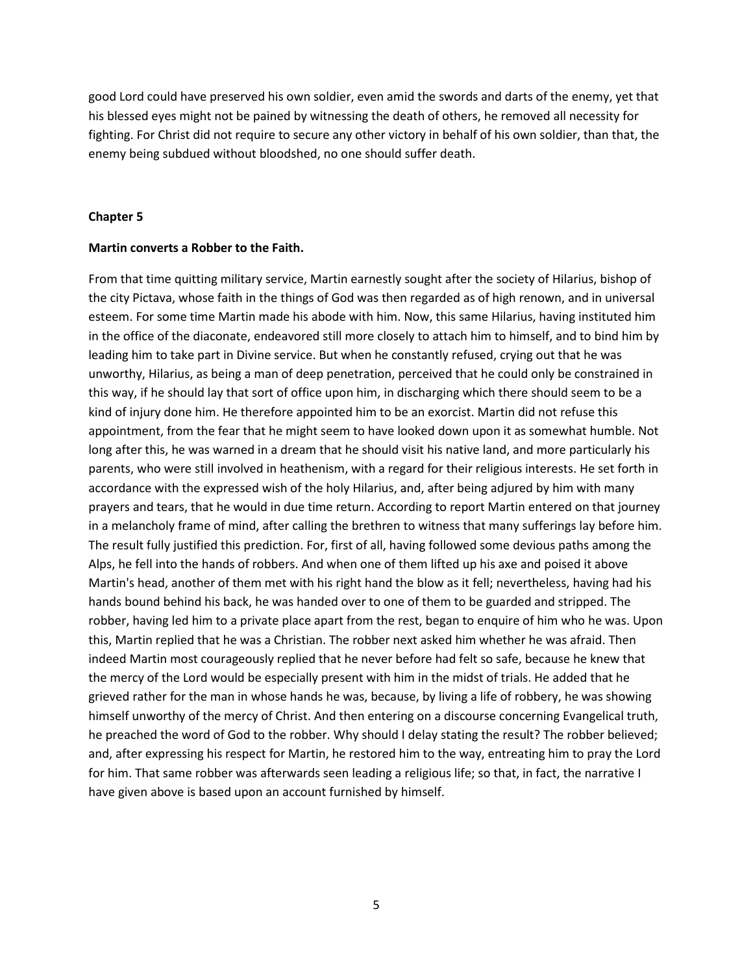good Lord could have preserved his own soldier, even amid the swords and darts of the enemy, yet that his blessed eyes might not be pained by witnessing the death of others, he removed all necessity for fighting. For Christ did not require to secure any other victory in behalf of his own soldier, than that, the enemy being subdued without bloodshed, no one should suffer death.

# **Chapter 5**

# **Martin converts a Robber to the Faith.**

From that time quitting military service, Martin earnestly sought after the society of Hilarius, bishop of the city Pictava, whose faith in the things of God was then regarded as of high renown, and in universal esteem. For some time Martin made his abode with him. Now, this same Hilarius, having instituted him in the office of the diaconate, endeavored still more closely to attach him to himself, and to bind him by leading him to take part in Divine service. But when he constantly refused, crying out that he was unworthy, Hilarius, as being a man of deep penetration, perceived that he could only be constrained in this way, if he should lay that sort of office upon him, in discharging which there should seem to be a kind of injury done him. He therefore appointed him to be an exorcist. Martin did not refuse this appointment, from the fear that he might seem to have looked down upon it as somewhat humble. Not long after this, he was warned in a dream that he should visit his native land, and more particularly his parents, who were still involved in heathenism, with a regard for their religious interests. He set forth in accordance with the expressed wish of the holy Hilarius, and, after being adjured by him with many prayers and tears, that he would in due time return. According to report Martin entered on that journey in a melancholy frame of mind, after calling the brethren to witness that many sufferings lay before him. The result fully justified this prediction. For, first of all, having followed some devious paths among the Alps, he fell into the hands of robbers. And when one of them lifted up his axe and poised it above Martin's head, another of them met with his right hand the blow as it fell; nevertheless, having had his hands bound behind his back, he was handed over to one of them to be guarded and stripped. The robber, having led him to a private place apart from the rest, began to enquire of him who he was. Upon this, Martin replied that he was a Christian. The robber next asked him whether he was afraid. Then indeed Martin most courageously replied that he never before had felt so safe, because he knew that the mercy of the Lord would be especially present with him in the midst of trials. He added that he grieved rather for the man in whose hands he was, because, by living a life of robbery, he was showing himself unworthy of the mercy of Christ. And then entering on a discourse concerning Evangelical truth, he preached the word of God to the robber. Why should I delay stating the result? The robber believed; and, after expressing his respect for Martin, he restored him to the way, entreating him to pray the Lord for him. That same robber was afterwards seen leading a religious life; so that, in fact, the narrative I have given above is based upon an account furnished by himself.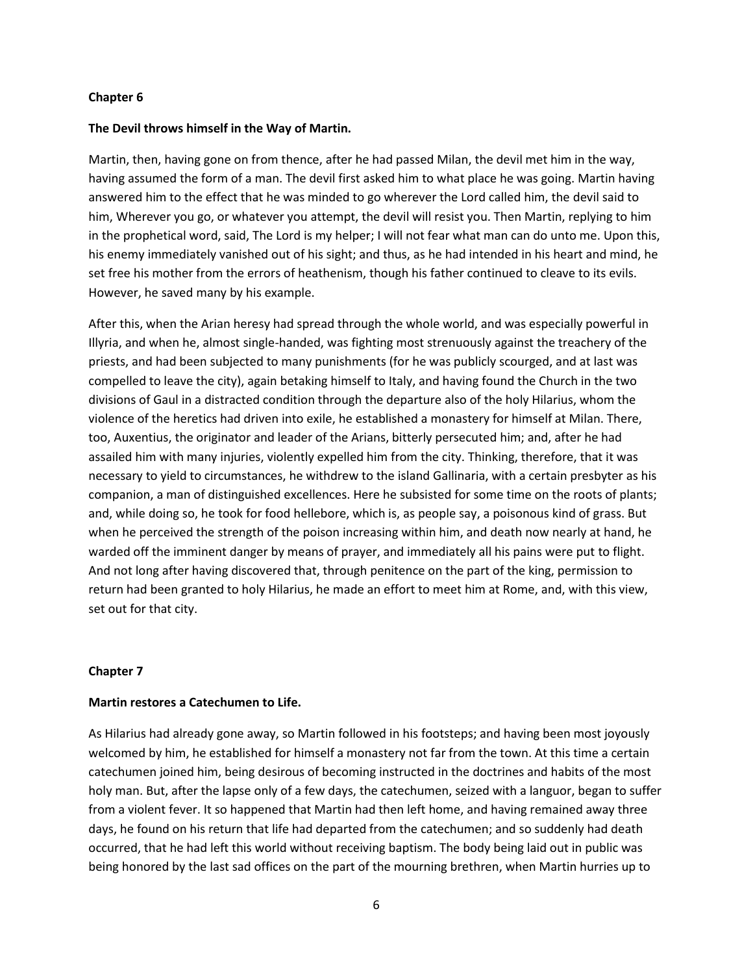# **Chapter 6**

## **The Devil throws himself in the Way of Martin.**

Martin, then, having gone on from thence, after he had passed Milan, the devil met him in the way, having assumed the form of a man. The devil first asked him to what place he was going. Martin having answered him to the effect that he was minded to go wherever the Lord called him, the devil said to him, Wherever you go, or whatever you attempt, the devil will resist you. Then Martin, replying to him in the prophetical word, said, The Lord is my helper; I will not fear what man can do unto me. Upon this, his enemy immediately vanished out of his sight; and thus, as he had intended in his heart and mind, he set free his mother from the errors of heathenism, though his father continued to cleave to its evils. However, he saved many by his example.

After this, when the Arian heresy had spread through the whole world, and was especially powerful in Illyria, and when he, almost single-handed, was fighting most strenuously against the treachery of the priests, and had been subjected to many punishments (for he was publicly scourged, and at last was compelled to leave the city), again betaking himself to Italy, and having found the Church in the two divisions of Gaul in a distracted condition through the departure also of the holy Hilarius, whom the violence of the heretics had driven into exile, he established a monastery for himself at Milan. There, too, Auxentius, the originator and leader of the Arians, bitterly persecuted him; and, after he had assailed him with many injuries, violently expelled him from the city. Thinking, therefore, that it was necessary to yield to circumstances, he withdrew to the island Gallinaria, with a certain presbyter as his companion, a man of distinguished excellences. Here he subsisted for some time on the roots of plants; and, while doing so, he took for food hellebore, which is, as people say, a poisonous kind of grass. But when he perceived the strength of the poison increasing within him, and death now nearly at hand, he warded off the imminent danger by means of prayer, and immediately all his pains were put to flight. And not long after having discovered that, through penitence on the part of the king, permission to return had been granted to holy Hilarius, he made an effort to meet him at Rome, and, with this view, set out for that city.

## **Chapter 7**

# **Martin restores a Catechumen to Life.**

As Hilarius had already gone away, so Martin followed in his footsteps; and having been most joyously welcomed by him, he established for himself a monastery not far from the town. At this time a certain catechumen joined him, being desirous of becoming instructed in the doctrines and habits of the most holy man. But, after the lapse only of a few days, the catechumen, seized with a languor, began to suffer from a violent fever. It so happened that Martin had then left home, and having remained away three days, he found on his return that life had departed from the catechumen; and so suddenly had death occurred, that he had left this world without receiving baptism. The body being laid out in public was being honored by the last sad offices on the part of the mourning brethren, when Martin hurries up to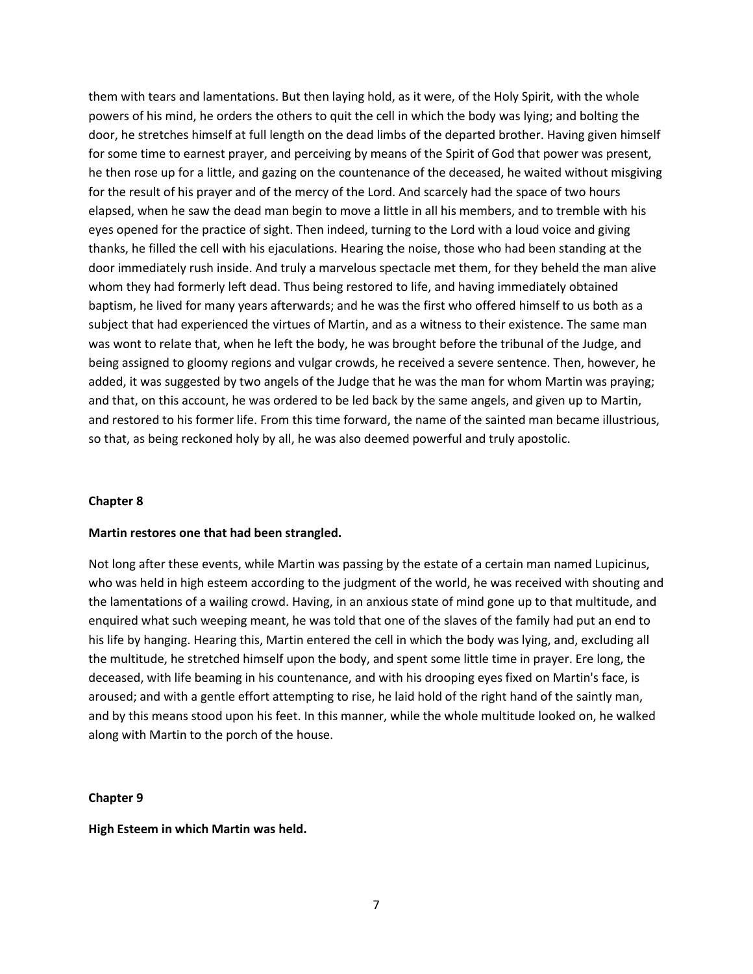them with tears and lamentations. But then laying hold, as it were, of the Holy Spirit, with the whole powers of his mind, he orders the others to quit the cell in which the body was lying; and bolting the door, he stretches himself at full length on the dead limbs of the departed brother. Having given himself for some time to earnest prayer, and perceiving by means of the Spirit of God that power was present, he then rose up for a little, and gazing on the countenance of the deceased, he waited without misgiving for the result of his prayer and of the mercy of the Lord. And scarcely had the space of two hours elapsed, when he saw the dead man begin to move a little in all his members, and to tremble with his eyes opened for the practice of sight. Then indeed, turning to the Lord with a loud voice and giving thanks, he filled the cell with his ejaculations. Hearing the noise, those who had been standing at the door immediately rush inside. And truly a marvelous spectacle met them, for they beheld the man alive whom they had formerly left dead. Thus being restored to life, and having immediately obtained baptism, he lived for many years afterwards; and he was the first who offered himself to us both as a subject that had experienced the virtues of Martin, and as a witness to their existence. The same man was wont to relate that, when he left the body, he was brought before the tribunal of the Judge, and being assigned to gloomy regions and vulgar crowds, he received a severe sentence. Then, however, he added, it was suggested by two angels of the Judge that he was the man for whom Martin was praying; and that, on this account, he was ordered to be led back by the same angels, and given up to Martin, and restored to his former life. From this time forward, the name of the sainted man became illustrious, so that, as being reckoned holy by all, he was also deemed powerful and truly apostolic.

## **Chapter 8**

## **Martin restores one that had been strangled.**

Not long after these events, while Martin was passing by the estate of a certain man named Lupicinus, who was held in high esteem according to the judgment of the world, he was received with shouting and the lamentations of a wailing crowd. Having, in an anxious state of mind gone up to that multitude, and enquired what such weeping meant, he was told that one of the slaves of the family had put an end to his life by hanging. Hearing this, Martin entered the cell in which the body was lying, and, excluding all the multitude, he stretched himself upon the body, and spent some little time in prayer. Ere long, the deceased, with life beaming in his countenance, and with his drooping eyes fixed on Martin's face, is aroused; and with a gentle effort attempting to rise, he laid hold of the right hand of the saintly man, and by this means stood upon his feet. In this manner, while the whole multitude looked on, he walked along with Martin to the porch of the house.

## **Chapter 9**

**High Esteem in which Martin was held.**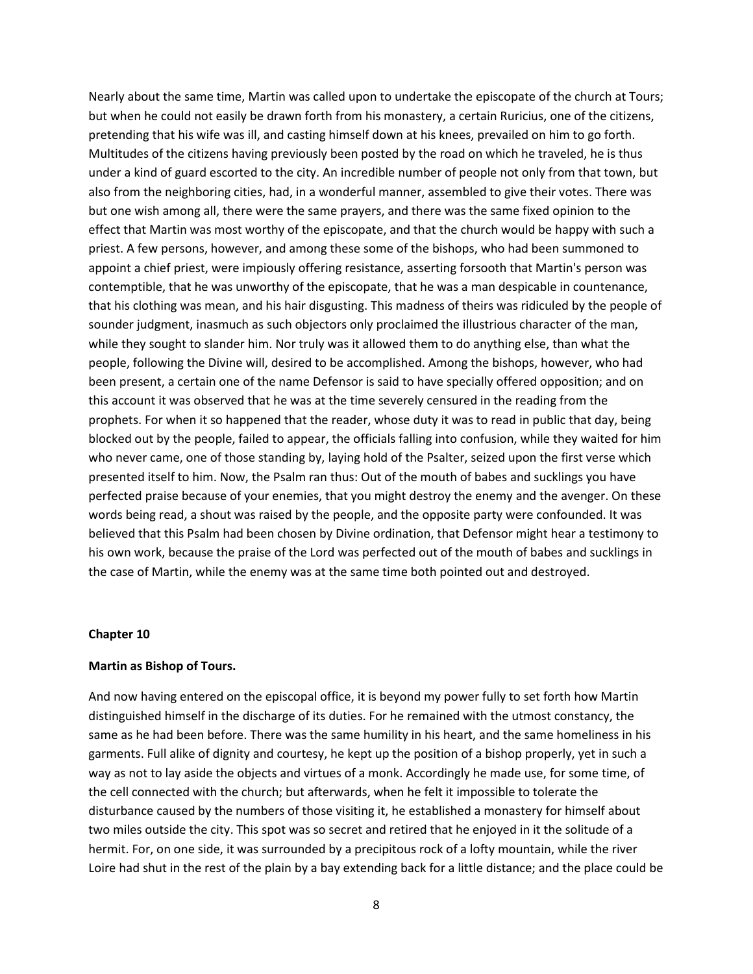Nearly about the same time, Martin was called upon to undertake the episcopate of the church at Tours; but when he could not easily be drawn forth from his monastery, a certain Ruricius, one of the citizens, pretending that his wife was ill, and casting himself down at his knees, prevailed on him to go forth. Multitudes of the citizens having previously been posted by the road on which he traveled, he is thus under a kind of guard escorted to the city. An incredible number of people not only from that town, but also from the neighboring cities, had, in a wonderful manner, assembled to give their votes. There was but one wish among all, there were the same prayers, and there was the same fixed opinion to the effect that Martin was most worthy of the episcopate, and that the church would be happy with such a priest. A few persons, however, and among these some of the bishops, who had been summoned to appoint a chief priest, were impiously offering resistance, asserting forsooth that Martin's person was contemptible, that he was unworthy of the episcopate, that he was a man despicable in countenance, that his clothing was mean, and his hair disgusting. This madness of theirs was ridiculed by the people of sounder judgment, inasmuch as such objectors only proclaimed the illustrious character of the man, while they sought to slander him. Nor truly was it allowed them to do anything else, than what the people, following the Divine will, desired to be accomplished. Among the bishops, however, who had been present, a certain one of the name Defensor is said to have specially offered opposition; and on this account it was observed that he was at the time severely censured in the reading from the prophets. For when it so happened that the reader, whose duty it was to read in public that day, being blocked out by the people, failed to appear, the officials falling into confusion, while they waited for him who never came, one of those standing by, laying hold of the Psalter, seized upon the first verse which presented itself to him. Now, the Psalm ran thus: Out of the mouth of babes and sucklings you have perfected praise because of your enemies, that you might destroy the enemy and the avenger. On these words being read, a shout was raised by the people, and the opposite party were confounded. It was believed that this Psalm had been chosen by Divine ordination, that Defensor might hear a testimony to his own work, because the praise of the Lord was perfected out of the mouth of babes and sucklings in the case of Martin, while the enemy was at the same time both pointed out and destroyed.

# **Chapter 10**

#### **Martin as Bishop of Tours.**

And now having entered on the episcopal office, it is beyond my power fully to set forth how Martin distinguished himself in the discharge of its duties. For he remained with the utmost constancy, the same as he had been before. There was the same humility in his heart, and the same homeliness in his garments. Full alike of dignity and courtesy, he kept up the position of a bishop properly, yet in such a way as not to lay aside the objects and virtues of a monk. Accordingly he made use, for some time, of the cell connected with the church; but afterwards, when he felt it impossible to tolerate the disturbance caused by the numbers of those visiting it, he established a monastery for himself about two miles outside the city. This spot was so secret and retired that he enjoyed in it the solitude of a hermit. For, on one side, it was surrounded by a precipitous rock of a lofty mountain, while the river Loire had shut in the rest of the plain by a bay extending back for a little distance; and the place could be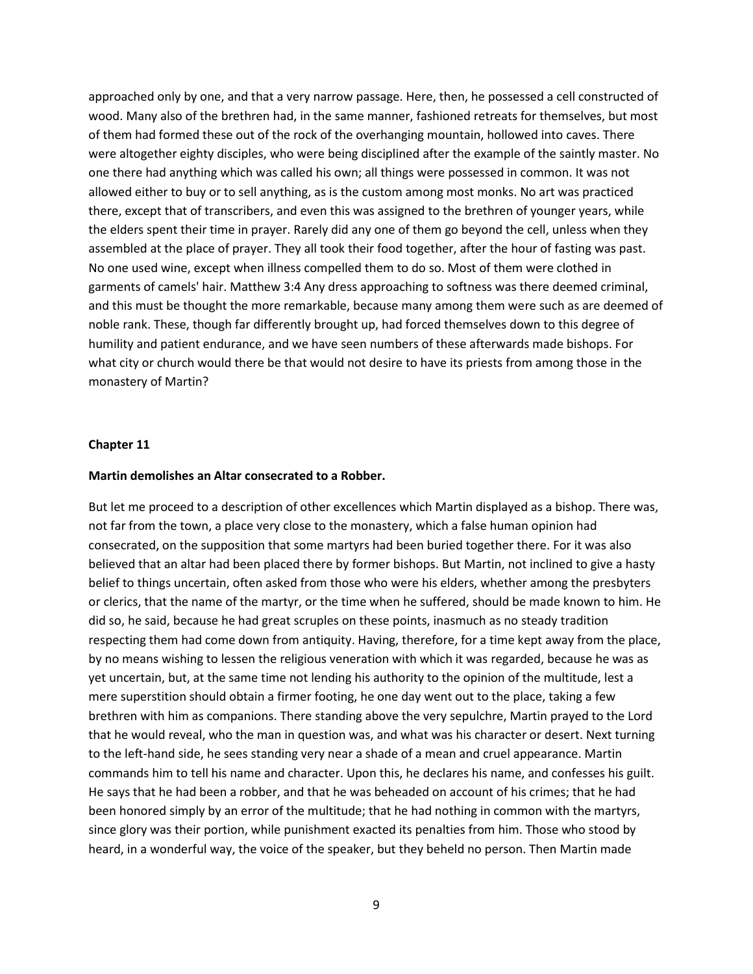approached only by one, and that a very narrow passage. Here, then, he possessed a cell constructed of wood. Many also of the brethren had, in the same manner, fashioned retreats for themselves, but most of them had formed these out of the rock of the overhanging mountain, hollowed into caves. There were altogether eighty disciples, who were being disciplined after the example of the saintly master. No one there had anything which was called his own; all things were possessed in common. It was not allowed either to buy or to sell anything, as is the custom among most monks. No art was practiced there, except that of transcribers, and even this was assigned to the brethren of younger years, while the elders spent their time in prayer. Rarely did any one of them go beyond the cell, unless when they assembled at the place of prayer. They all took their food together, after the hour of fasting was past. No one used wine, except when illness compelled them to do so. Most of them were clothed in garments of camels' hair. Matthew 3:4 Any dress approaching to softness was there deemed criminal, and this must be thought the more remarkable, because many among them were such as are deemed of noble rank. These, though far differently brought up, had forced themselves down to this degree of humility and patient endurance, and we have seen numbers of these afterwards made bishops. For what city or church would there be that would not desire to have its priests from among those in the monastery of Martin?

## **Chapter 11**

## **Martin demolishes an Altar consecrated to a Robber.**

But let me proceed to a description of other excellences which Martin displayed as a bishop. There was, not far from the town, a place very close to the monastery, which a false human opinion had consecrated, on the supposition that some martyrs had been buried together there. For it was also believed that an altar had been placed there by former bishops. But Martin, not inclined to give a hasty belief to things uncertain, often asked from those who were his elders, whether among the presbyters or clerics, that the name of the martyr, or the time when he suffered, should be made known to him. He did so, he said, because he had great scruples on these points, inasmuch as no steady tradition respecting them had come down from antiquity. Having, therefore, for a time kept away from the place, by no means wishing to lessen the religious veneration with which it was regarded, because he was as yet uncertain, but, at the same time not lending his authority to the opinion of the multitude, lest a mere superstition should obtain a firmer footing, he one day went out to the place, taking a few brethren with him as companions. There standing above the very sepulchre, Martin prayed to the Lord that he would reveal, who the man in question was, and what was his character or desert. Next turning to the left-hand side, he sees standing very near a shade of a mean and cruel appearance. Martin commands him to tell his name and character. Upon this, he declares his name, and confesses his guilt. He says that he had been a robber, and that he was beheaded on account of his crimes; that he had been honored simply by an error of the multitude; that he had nothing in common with the martyrs, since glory was their portion, while punishment exacted its penalties from him. Those who stood by heard, in a wonderful way, the voice of the speaker, but they beheld no person. Then Martin made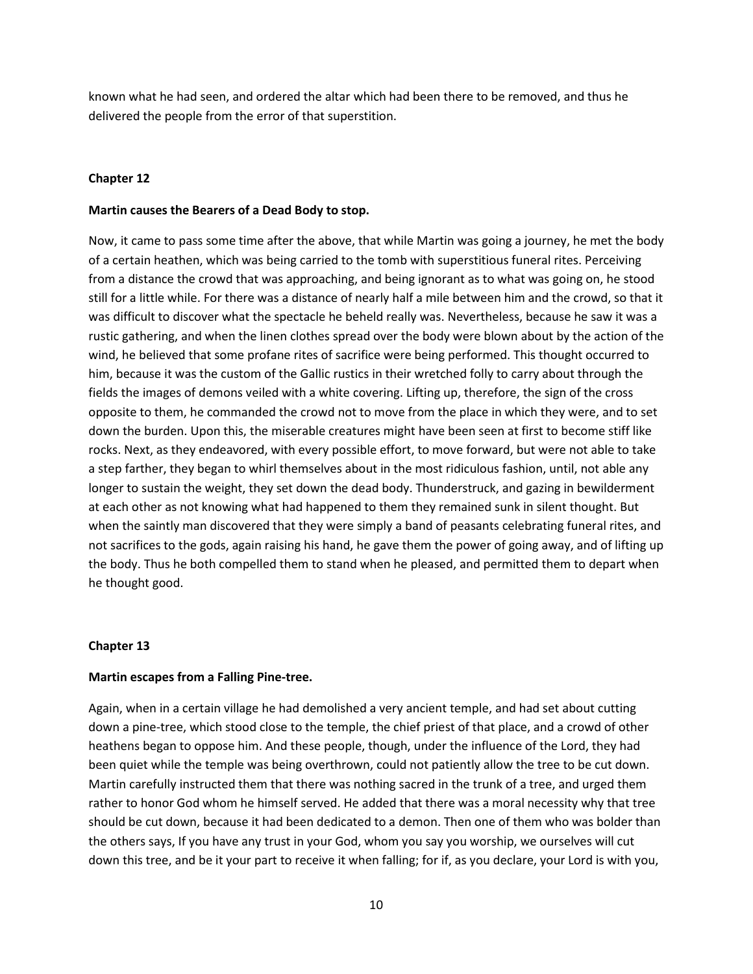known what he had seen, and ordered the altar which had been there to be removed, and thus he delivered the people from the error of that superstition.

# **Chapter 12**

# **Martin causes the Bearers of a Dead Body to stop.**

Now, it came to pass some time after the above, that while Martin was going a journey, he met the body of a certain heathen, which was being carried to the tomb with superstitious funeral rites. Perceiving from a distance the crowd that was approaching, and being ignorant as to what was going on, he stood still for a little while. For there was a distance of nearly half a mile between him and the crowd, so that it was difficult to discover what the spectacle he beheld really was. Nevertheless, because he saw it was a rustic gathering, and when the linen clothes spread over the body were blown about by the action of the wind, he believed that some profane rites of sacrifice were being performed. This thought occurred to him, because it was the custom of the Gallic rustics in their wretched folly to carry about through the fields the images of demons veiled with a white covering. Lifting up, therefore, the sign of the cross opposite to them, he commanded the crowd not to move from the place in which they were, and to set down the burden. Upon this, the miserable creatures might have been seen at first to become stiff like rocks. Next, as they endeavored, with every possible effort, to move forward, but were not able to take a step farther, they began to whirl themselves about in the most ridiculous fashion, until, not able any longer to sustain the weight, they set down the dead body. Thunderstruck, and gazing in bewilderment at each other as not knowing what had happened to them they remained sunk in silent thought. But when the saintly man discovered that they were simply a band of peasants celebrating funeral rites, and not sacrifices to the gods, again raising his hand, he gave them the power of going away, and of lifting up the body. Thus he both compelled them to stand when he pleased, and permitted them to depart when he thought good.

# **Chapter 13**

## **Martin escapes from a Falling Pine-tree.**

Again, when in a certain village he had demolished a very ancient temple, and had set about cutting down a pine-tree, which stood close to the temple, the chief priest of that place, and a crowd of other heathens began to oppose him. And these people, though, under the influence of the Lord, they had been quiet while the temple was being overthrown, could not patiently allow the tree to be cut down. Martin carefully instructed them that there was nothing sacred in the trunk of a tree, and urged them rather to honor God whom he himself served. He added that there was a moral necessity why that tree should be cut down, because it had been dedicated to a demon. Then one of them who was bolder than the others says, If you have any trust in your God, whom you say you worship, we ourselves will cut down this tree, and be it your part to receive it when falling; for if, as you declare, your Lord is with you,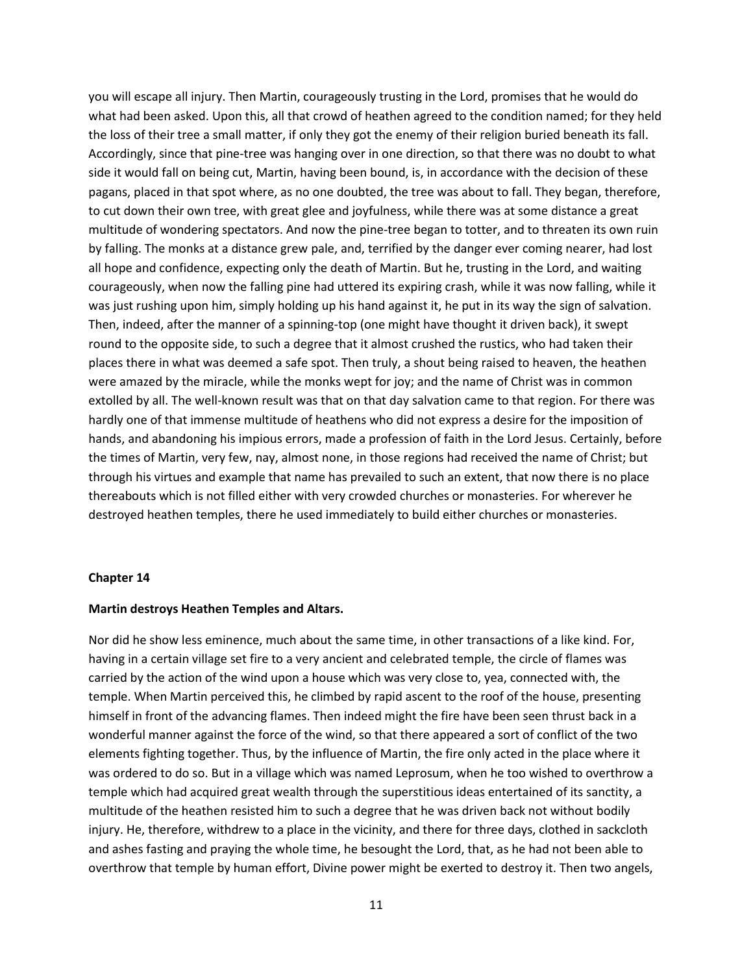you will escape all injury. Then Martin, courageously trusting in the Lord, promises that he would do what had been asked. Upon this, all that crowd of heathen agreed to the condition named; for they held the loss of their tree a small matter, if only they got the enemy of their religion buried beneath its fall. Accordingly, since that pine-tree was hanging over in one direction, so that there was no doubt to what side it would fall on being cut, Martin, having been bound, is, in accordance with the decision of these pagans, placed in that spot where, as no one doubted, the tree was about to fall. They began, therefore, to cut down their own tree, with great glee and joyfulness, while there was at some distance a great multitude of wondering spectators. And now the pine-tree began to totter, and to threaten its own ruin by falling. The monks at a distance grew pale, and, terrified by the danger ever coming nearer, had lost all hope and confidence, expecting only the death of Martin. But he, trusting in the Lord, and waiting courageously, when now the falling pine had uttered its expiring crash, while it was now falling, while it was just rushing upon him, simply holding up his hand against it, he put in its way the sign of salvation. Then, indeed, after the manner of a spinning-top (one might have thought it driven back), it swept round to the opposite side, to such a degree that it almost crushed the rustics, who had taken their places there in what was deemed a safe spot. Then truly, a shout being raised to heaven, the heathen were amazed by the miracle, while the monks wept for joy; and the name of Christ was in common extolled by all. The well-known result was that on that day salvation came to that region. For there was hardly one of that immense multitude of heathens who did not express a desire for the imposition of hands, and abandoning his impious errors, made a profession of faith in the Lord Jesus. Certainly, before the times of Martin, very few, nay, almost none, in those regions had received the name of Christ; but through his virtues and example that name has prevailed to such an extent, that now there is no place thereabouts which is not filled either with very crowded churches or monasteries. For wherever he destroyed heathen temples, there he used immediately to build either churches or monasteries.

## **Chapter 14**

## **Martin destroys Heathen Temples and Altars.**

Nor did he show less eminence, much about the same time, in other transactions of a like kind. For, having in a certain village set fire to a very ancient and celebrated temple, the circle of flames was carried by the action of the wind upon a house which was very close to, yea, connected with, the temple. When Martin perceived this, he climbed by rapid ascent to the roof of the house, presenting himself in front of the advancing flames. Then indeed might the fire have been seen thrust back in a wonderful manner against the force of the wind, so that there appeared a sort of conflict of the two elements fighting together. Thus, by the influence of Martin, the fire only acted in the place where it was ordered to do so. But in a village which was named Leprosum, when he too wished to overthrow a temple which had acquired great wealth through the superstitious ideas entertained of its sanctity, a multitude of the heathen resisted him to such a degree that he was driven back not without bodily injury. He, therefore, withdrew to a place in the vicinity, and there for three days, clothed in sackcloth and ashes fasting and praying the whole time, he besought the Lord, that, as he had not been able to overthrow that temple by human effort, Divine power might be exerted to destroy it. Then two angels,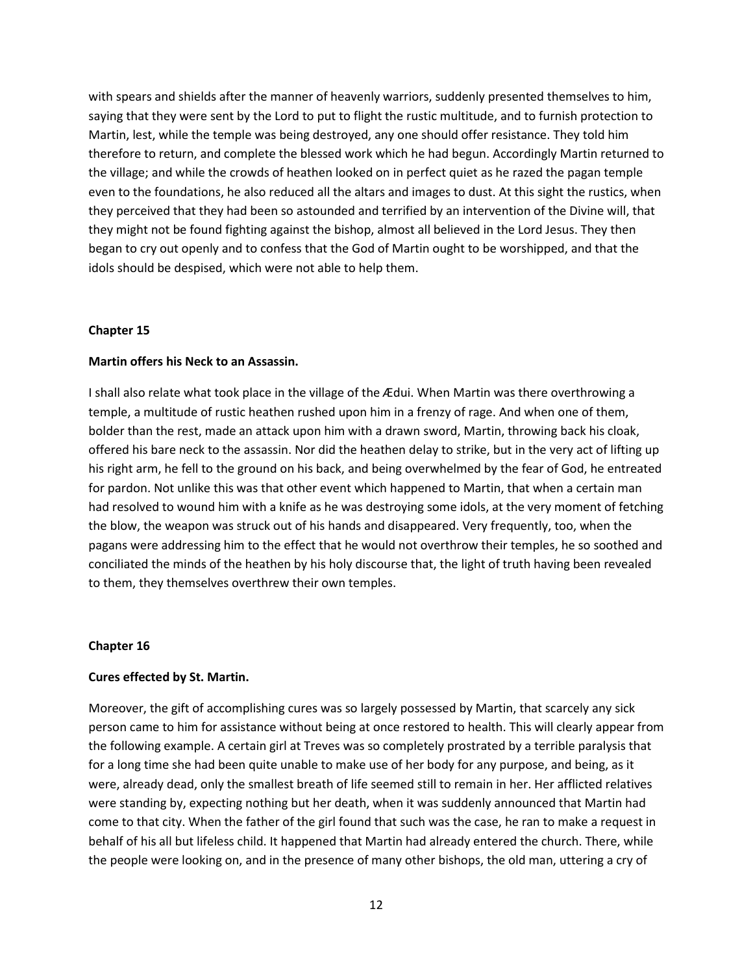with spears and shields after the manner of heavenly warriors, suddenly presented themselves to him, saying that they were sent by the Lord to put to flight the rustic multitude, and to furnish protection to Martin, lest, while the temple was being destroyed, any one should offer resistance. They told him therefore to return, and complete the blessed work which he had begun. Accordingly Martin returned to the village; and while the crowds of heathen looked on in perfect quiet as he razed the pagan temple even to the foundations, he also reduced all the altars and images to dust. At this sight the rustics, when they perceived that they had been so astounded and terrified by an intervention of the Divine will, that they might not be found fighting against the bishop, almost all believed in the Lord Jesus. They then began to cry out openly and to confess that the God of Martin ought to be worshipped, and that the idols should be despised, which were not able to help them.

# **Chapter 15**

# **Martin offers his Neck to an Assassin.**

I shall also relate what took place in the village of the Ædui. When Martin was there overthrowing a temple, a multitude of rustic heathen rushed upon him in a frenzy of rage. And when one of them, bolder than the rest, made an attack upon him with a drawn sword, Martin, throwing back his cloak, offered his bare neck to the assassin. Nor did the heathen delay to strike, but in the very act of lifting up his right arm, he fell to the ground on his back, and being overwhelmed by the fear of God, he entreated for pardon. Not unlike this was that other event which happened to Martin, that when a certain man had resolved to wound him with a knife as he was destroying some idols, at the very moment of fetching the blow, the weapon was struck out of his hands and disappeared. Very frequently, too, when the pagans were addressing him to the effect that he would not overthrow their temples, he so soothed and conciliated the minds of the heathen by his holy discourse that, the light of truth having been revealed to them, they themselves overthrew their own temples.

## **Chapter 16**

## **Cures effected by St. Martin.**

Moreover, the gift of accomplishing cures was so largely possessed by Martin, that scarcely any sick person came to him for assistance without being at once restored to health. This will clearly appear from the following example. A certain girl at Treves was so completely prostrated by a terrible paralysis that for a long time she had been quite unable to make use of her body for any purpose, and being, as it were, already dead, only the smallest breath of life seemed still to remain in her. Her afflicted relatives were standing by, expecting nothing but her death, when it was suddenly announced that Martin had come to that city. When the father of the girl found that such was the case, he ran to make a request in behalf of his all but lifeless child. It happened that Martin had already entered the church. There, while the people were looking on, and in the presence of many other bishops, the old man, uttering a cry of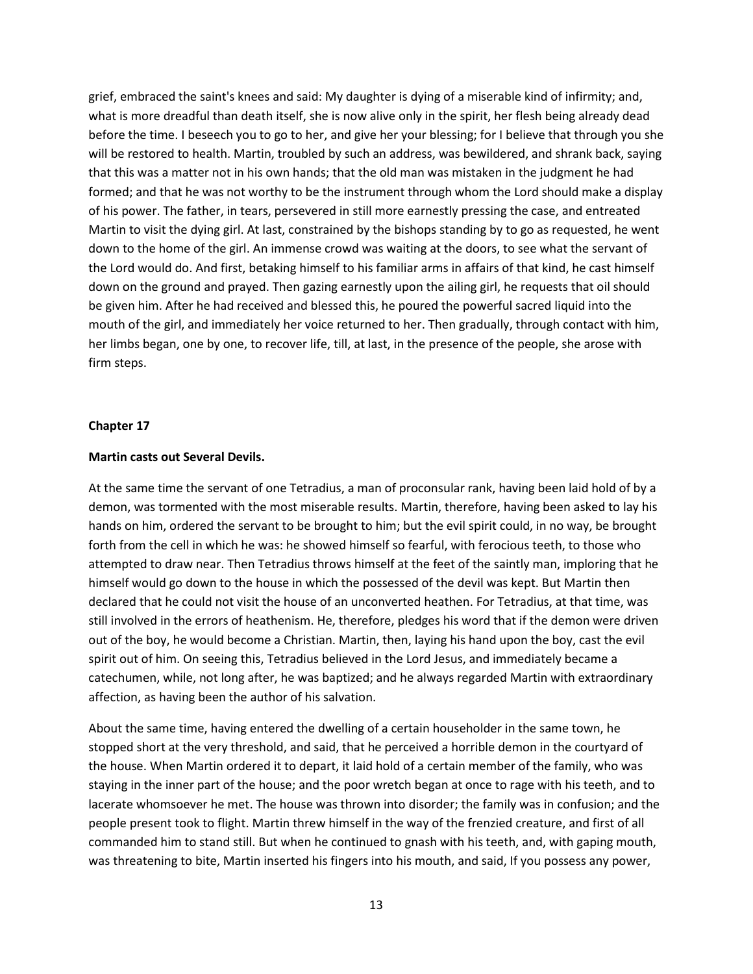grief, embraced the saint's knees and said: My daughter is dying of a miserable kind of infirmity; and, what is more dreadful than death itself, she is now alive only in the spirit, her flesh being already dead before the time. I beseech you to go to her, and give her your blessing; for I believe that through you she will be restored to health. Martin, troubled by such an address, was bewildered, and shrank back, saying that this was a matter not in his own hands; that the old man was mistaken in the judgment he had formed; and that he was not worthy to be the instrument through whom the Lord should make a display of his power. The father, in tears, persevered in still more earnestly pressing the case, and entreated Martin to visit the dying girl. At last, constrained by the bishops standing by to go as requested, he went down to the home of the girl. An immense crowd was waiting at the doors, to see what the servant of the Lord would do. And first, betaking himself to his familiar arms in affairs of that kind, he cast himself down on the ground and prayed. Then gazing earnestly upon the ailing girl, he requests that oil should be given him. After he had received and blessed this, he poured the powerful sacred liquid into the mouth of the girl, and immediately her voice returned to her. Then gradually, through contact with him, her limbs began, one by one, to recover life, till, at last, in the presence of the people, she arose with firm steps.

## **Chapter 17**

## **Martin casts out Several Devils.**

At the same time the servant of one Tetradius, a man of proconsular rank, having been laid hold of by a demon, was tormented with the most miserable results. Martin, therefore, having been asked to lay his hands on him, ordered the servant to be brought to him; but the evil spirit could, in no way, be brought forth from the cell in which he was: he showed himself so fearful, with ferocious teeth, to those who attempted to draw near. Then Tetradius throws himself at the feet of the saintly man, imploring that he himself would go down to the house in which the possessed of the devil was kept. But Martin then declared that he could not visit the house of an unconverted heathen. For Tetradius, at that time, was still involved in the errors of heathenism. He, therefore, pledges his word that if the demon were driven out of the boy, he would become a Christian. Martin, then, laying his hand upon the boy, cast the evil spirit out of him. On seeing this, Tetradius believed in the Lord Jesus, and immediately became a catechumen, while, not long after, he was baptized; and he always regarded Martin with extraordinary affection, as having been the author of his salvation.

About the same time, having entered the dwelling of a certain householder in the same town, he stopped short at the very threshold, and said, that he perceived a horrible demon in the courtyard of the house. When Martin ordered it to depart, it laid hold of a certain member of the family, who was staying in the inner part of the house; and the poor wretch began at once to rage with his teeth, and to lacerate whomsoever he met. The house was thrown into disorder; the family was in confusion; and the people present took to flight. Martin threw himself in the way of the frenzied creature, and first of all commanded him to stand still. But when he continued to gnash with his teeth, and, with gaping mouth, was threatening to bite, Martin inserted his fingers into his mouth, and said, If you possess any power,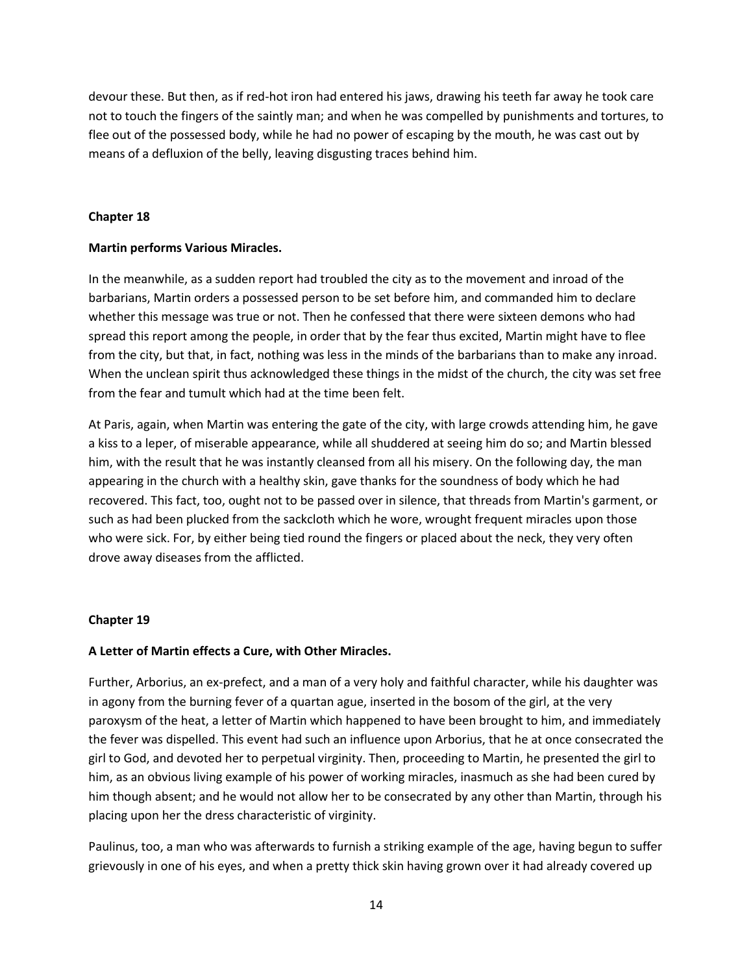devour these. But then, as if red-hot iron had entered his jaws, drawing his teeth far away he took care not to touch the fingers of the saintly man; and when he was compelled by punishments and tortures, to flee out of the possessed body, while he had no power of escaping by the mouth, he was cast out by means of a defluxion of the belly, leaving disgusting traces behind him.

# **Chapter 18**

# **Martin performs Various Miracles.**

In the meanwhile, as a sudden report had troubled the city as to the movement and inroad of the barbarians, Martin orders a possessed person to be set before him, and commanded him to declare whether this message was true or not. Then he confessed that there were sixteen demons who had spread this report among the people, in order that by the fear thus excited, Martin might have to flee from the city, but that, in fact, nothing was less in the minds of the barbarians than to make any inroad. When the unclean spirit thus acknowledged these things in the midst of the church, the city was set free from the fear and tumult which had at the time been felt.

At Paris, again, when Martin was entering the gate of the city, with large crowds attending him, he gave a kiss to a leper, of miserable appearance, while all shuddered at seeing him do so; and Martin blessed him, with the result that he was instantly cleansed from all his misery. On the following day, the man appearing in the church with a healthy skin, gave thanks for the soundness of body which he had recovered. This fact, too, ought not to be passed over in silence, that threads from Martin's garment, or such as had been plucked from the sackcloth which he wore, wrought frequent miracles upon those who were sick. For, by either being tied round the fingers or placed about the neck, they very often drove away diseases from the afflicted.

# **Chapter 19**

# **A Letter of Martin effects a Cure, with Other Miracles.**

Further, Arborius, an ex-prefect, and a man of a very holy and faithful character, while his daughter was in agony from the burning fever of a quartan ague, inserted in the bosom of the girl, at the very paroxysm of the heat, a letter of Martin which happened to have been brought to him, and immediately the fever was dispelled. This event had such an influence upon Arborius, that he at once consecrated the girl to God, and devoted her to perpetual virginity. Then, proceeding to Martin, he presented the girl to him, as an obvious living example of his power of working miracles, inasmuch as she had been cured by him though absent; and he would not allow her to be consecrated by any other than Martin, through his placing upon her the dress characteristic of virginity.

Paulinus, too, a man who was afterwards to furnish a striking example of the age, having begun to suffer grievously in one of his eyes, and when a pretty thick skin having grown over it had already covered up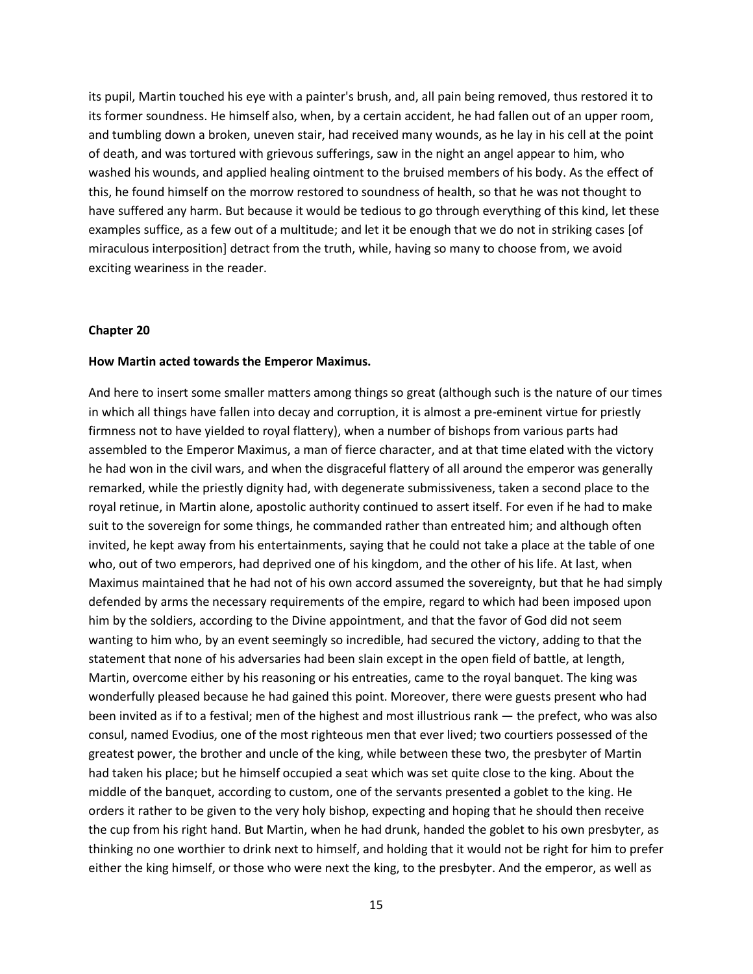its pupil, Martin touched his eye with a painter's brush, and, all pain being removed, thus restored it to its former soundness. He himself also, when, by a certain accident, he had fallen out of an upper room, and tumbling down a broken, uneven stair, had received many wounds, as he lay in his cell at the point of death, and was tortured with grievous sufferings, saw in the night an angel appear to him, who washed his wounds, and applied healing ointment to the bruised members of his body. As the effect of this, he found himself on the morrow restored to soundness of health, so that he was not thought to have suffered any harm. But because it would be tedious to go through everything of this kind, let these examples suffice, as a few out of a multitude; and let it be enough that we do not in striking cases [of miraculous interposition] detract from the truth, while, having so many to choose from, we avoid exciting weariness in the reader.

# **Chapter 20**

#### **How Martin acted towards the Emperor Maximus.**

And here to insert some smaller matters among things so great (although such is the nature of our times in which all things have fallen into decay and corruption, it is almost a pre-eminent virtue for priestly firmness not to have yielded to royal flattery), when a number of bishops from various parts had assembled to the Emperor Maximus, a man of fierce character, and at that time elated with the victory he had won in the civil wars, and when the disgraceful flattery of all around the emperor was generally remarked, while the priestly dignity had, with degenerate submissiveness, taken a second place to the royal retinue, in Martin alone, apostolic authority continued to assert itself. For even if he had to make suit to the sovereign for some things, he commanded rather than entreated him; and although often invited, he kept away from his entertainments, saying that he could not take a place at the table of one who, out of two emperors, had deprived one of his kingdom, and the other of his life. At last, when Maximus maintained that he had not of his own accord assumed the sovereignty, but that he had simply defended by arms the necessary requirements of the empire, regard to which had been imposed upon him by the soldiers, according to the Divine appointment, and that the favor of God did not seem wanting to him who, by an event seemingly so incredible, had secured the victory, adding to that the statement that none of his adversaries had been slain except in the open field of battle, at length, Martin, overcome either by his reasoning or his entreaties, came to the royal banquet. The king was wonderfully pleased because he had gained this point. Moreover, there were guests present who had been invited as if to a festival; men of the highest and most illustrious rank — the prefect, who was also consul, named Evodius, one of the most righteous men that ever lived; two courtiers possessed of the greatest power, the brother and uncle of the king, while between these two, the presbyter of Martin had taken his place; but he himself occupied a seat which was set quite close to the king. About the middle of the banquet, according to custom, one of the servants presented a goblet to the king. He orders it rather to be given to the very holy bishop, expecting and hoping that he should then receive the cup from his right hand. But Martin, when he had drunk, handed the goblet to his own presbyter, as thinking no one worthier to drink next to himself, and holding that it would not be right for him to prefer either the king himself, or those who were next the king, to the presbyter. And the emperor, as well as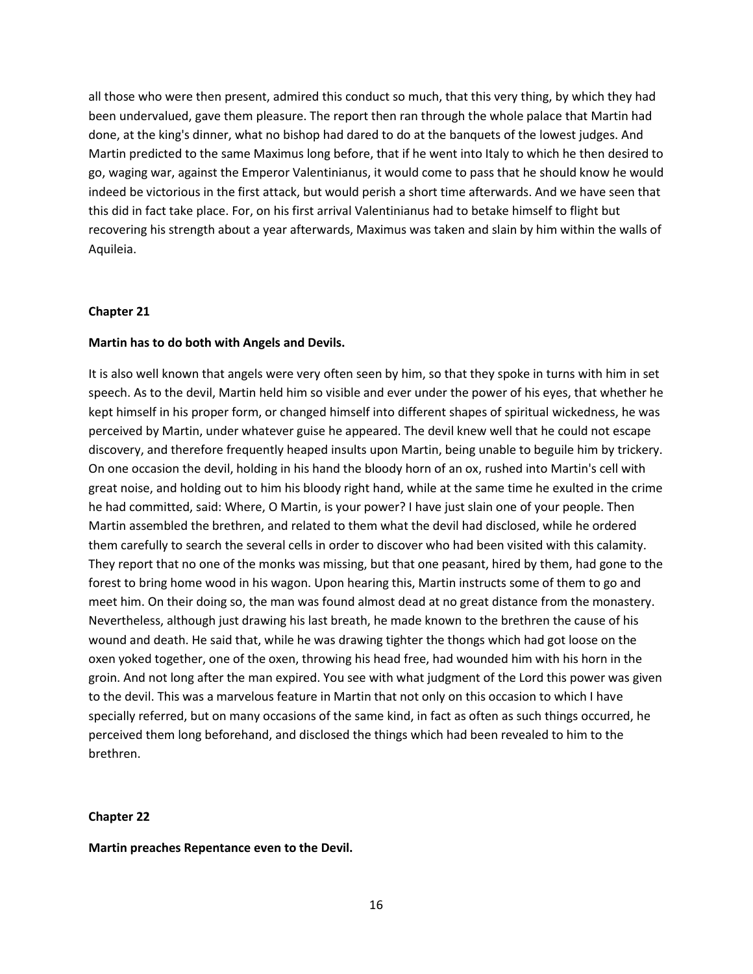all those who were then present, admired this conduct so much, that this very thing, by which they had been undervalued, gave them pleasure. The report then ran through the whole palace that Martin had done, at the king's dinner, what no bishop had dared to do at the banquets of the lowest judges. And Martin predicted to the same Maximus long before, that if he went into Italy to which he then desired to go, waging war, against the Emperor Valentinianus, it would come to pass that he should know he would indeed be victorious in the first attack, but would perish a short time afterwards. And we have seen that this did in fact take place. For, on his first arrival Valentinianus had to betake himself to flight but recovering his strength about a year afterwards, Maximus was taken and slain by him within the walls of Aquileia.

# **Chapter 21**

## **Martin has to do both with Angels and Devils.**

It is also well known that angels were very often seen by him, so that they spoke in turns with him in set speech. As to the devil, Martin held him so visible and ever under the power of his eyes, that whether he kept himself in his proper form, or changed himself into different shapes of spiritual wickedness, he was perceived by Martin, under whatever guise he appeared. The devil knew well that he could not escape discovery, and therefore frequently heaped insults upon Martin, being unable to beguile him by trickery. On one occasion the devil, holding in his hand the bloody horn of an ox, rushed into Martin's cell with great noise, and holding out to him his bloody right hand, while at the same time he exulted in the crime he had committed, said: Where, O Martin, is your power? I have just slain one of your people. Then Martin assembled the brethren, and related to them what the devil had disclosed, while he ordered them carefully to search the several cells in order to discover who had been visited with this calamity. They report that no one of the monks was missing, but that one peasant, hired by them, had gone to the forest to bring home wood in his wagon. Upon hearing this, Martin instructs some of them to go and meet him. On their doing so, the man was found almost dead at no great distance from the monastery. Nevertheless, although just drawing his last breath, he made known to the brethren the cause of his wound and death. He said that, while he was drawing tighter the thongs which had got loose on the oxen yoked together, one of the oxen, throwing his head free, had wounded him with his horn in the groin. And not long after the man expired. You see with what judgment of the Lord this power was given to the devil. This was a marvelous feature in Martin that not only on this occasion to which I have specially referred, but on many occasions of the same kind, in fact as often as such things occurred, he perceived them long beforehand, and disclosed the things which had been revealed to him to the brethren.

# **Chapter 22**

## **Martin preaches Repentance even to the Devil.**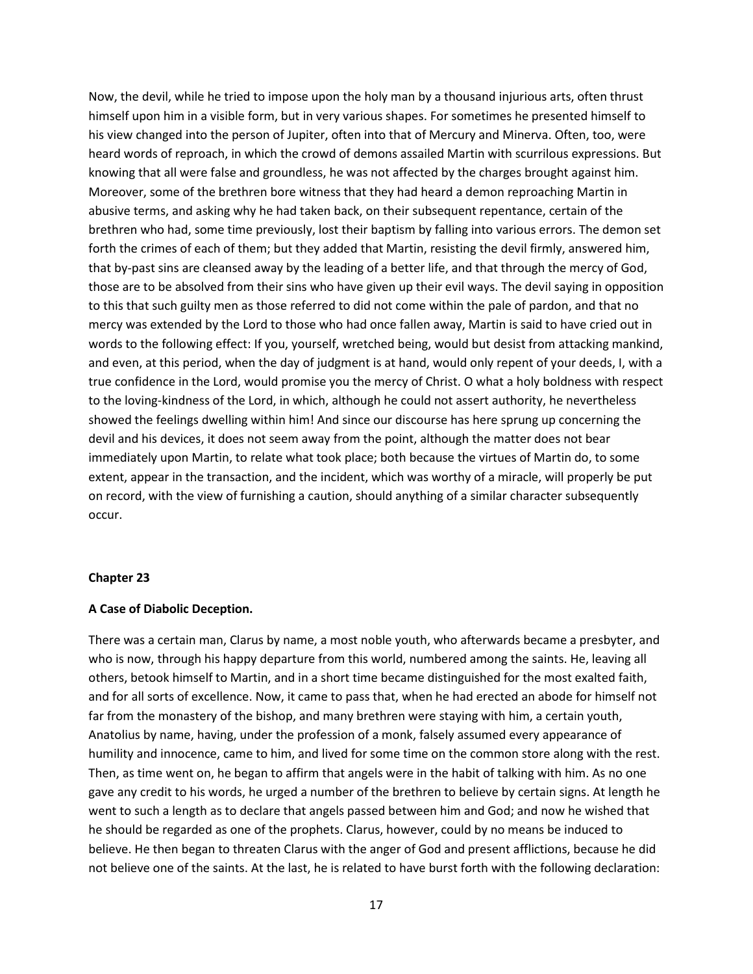Now, the devil, while he tried to impose upon the holy man by a thousand injurious arts, often thrust himself upon him in a visible form, but in very various shapes. For sometimes he presented himself to his view changed into the person of Jupiter, often into that of Mercury and Minerva. Often, too, were heard words of reproach, in which the crowd of demons assailed Martin with scurrilous expressions. But knowing that all were false and groundless, he was not affected by the charges brought against him. Moreover, some of the brethren bore witness that they had heard a demon reproaching Martin in abusive terms, and asking why he had taken back, on their subsequent repentance, certain of the brethren who had, some time previously, lost their baptism by falling into various errors. The demon set forth the crimes of each of them; but they added that Martin, resisting the devil firmly, answered him, that by-past sins are cleansed away by the leading of a better life, and that through the mercy of God, those are to be absolved from their sins who have given up their evil ways. The devil saying in opposition to this that such guilty men as those referred to did not come within the pale of pardon, and that no mercy was extended by the Lord to those who had once fallen away, Martin is said to have cried out in words to the following effect: If you, yourself, wretched being, would but desist from attacking mankind, and even, at this period, when the day of judgment is at hand, would only repent of your deeds, I, with a true confidence in the Lord, would promise you the mercy of Christ. O what a holy boldness with respect to the loving-kindness of the Lord, in which, although he could not assert authority, he nevertheless showed the feelings dwelling within him! And since our discourse has here sprung up concerning the devil and his devices, it does not seem away from the point, although the matter does not bear immediately upon Martin, to relate what took place; both because the virtues of Martin do, to some extent, appear in the transaction, and the incident, which was worthy of a miracle, will properly be put on record, with the view of furnishing a caution, should anything of a similar character subsequently occur.

## **Chapter 23**

# **A Case of Diabolic Deception.**

There was a certain man, Clarus by name, a most noble youth, who afterwards became a presbyter, and who is now, through his happy departure from this world, numbered among the saints. He, leaving all others, betook himself to Martin, and in a short time became distinguished for the most exalted faith, and for all sorts of excellence. Now, it came to pass that, when he had erected an abode for himself not far from the monastery of the bishop, and many brethren were staying with him, a certain youth, Anatolius by name, having, under the profession of a monk, falsely assumed every appearance of humility and innocence, came to him, and lived for some time on the common store along with the rest. Then, as time went on, he began to affirm that angels were in the habit of talking with him. As no one gave any credit to his words, he urged a number of the brethren to believe by certain signs. At length he went to such a length as to declare that angels passed between him and God; and now he wished that he should be regarded as one of the prophets. Clarus, however, could by no means be induced to believe. He then began to threaten Clarus with the anger of God and present afflictions, because he did not believe one of the saints. At the last, he is related to have burst forth with the following declaration: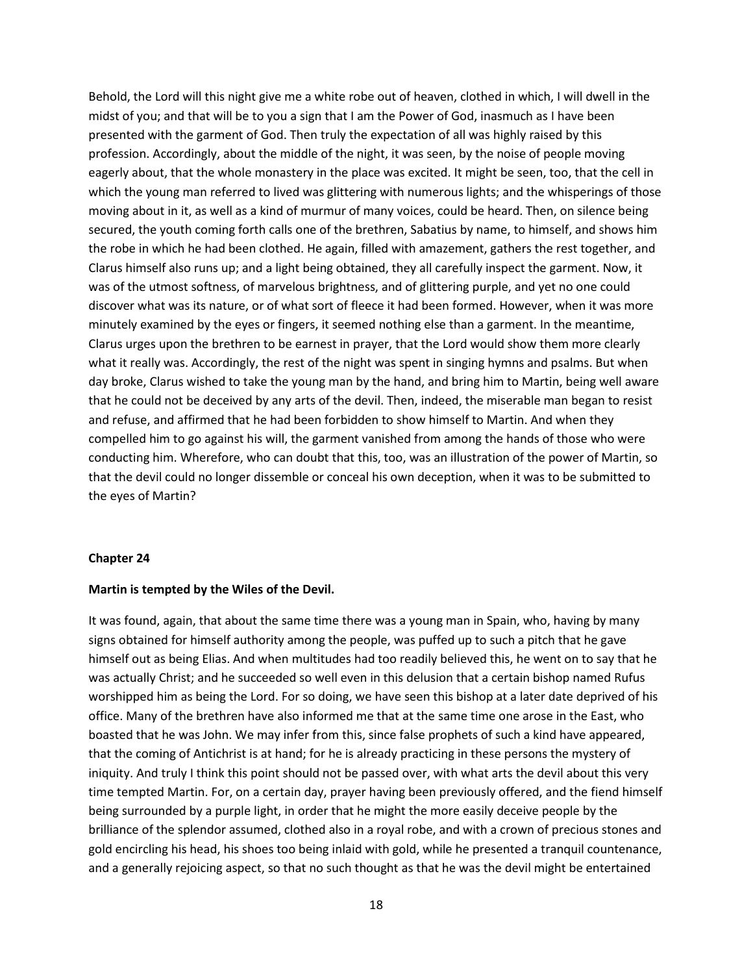Behold, the Lord will this night give me a white robe out of heaven, clothed in which, I will dwell in the midst of you; and that will be to you a sign that I am the Power of God, inasmuch as I have been presented with the garment of God. Then truly the expectation of all was highly raised by this profession. Accordingly, about the middle of the night, it was seen, by the noise of people moving eagerly about, that the whole monastery in the place was excited. It might be seen, too, that the cell in which the young man referred to lived was glittering with numerous lights; and the whisperings of those moving about in it, as well as a kind of murmur of many voices, could be heard. Then, on silence being secured, the youth coming forth calls one of the brethren, Sabatius by name, to himself, and shows him the robe in which he had been clothed. He again, filled with amazement, gathers the rest together, and Clarus himself also runs up; and a light being obtained, they all carefully inspect the garment. Now, it was of the utmost softness, of marvelous brightness, and of glittering purple, and yet no one could discover what was its nature, or of what sort of fleece it had been formed. However, when it was more minutely examined by the eyes or fingers, it seemed nothing else than a garment. In the meantime, Clarus urges upon the brethren to be earnest in prayer, that the Lord would show them more clearly what it really was. Accordingly, the rest of the night was spent in singing hymns and psalms. But when day broke, Clarus wished to take the young man by the hand, and bring him to Martin, being well aware that he could not be deceived by any arts of the devil. Then, indeed, the miserable man began to resist and refuse, and affirmed that he had been forbidden to show himself to Martin. And when they compelled him to go against his will, the garment vanished from among the hands of those who were conducting him. Wherefore, who can doubt that this, too, was an illustration of the power of Martin, so that the devil could no longer dissemble or conceal his own deception, when it was to be submitted to the eyes of Martin?

## **Chapter 24**

## **Martin is tempted by the Wiles of the Devil.**

It was found, again, that about the same time there was a young man in Spain, who, having by many signs obtained for himself authority among the people, was puffed up to such a pitch that he gave himself out as being Elias. And when multitudes had too readily believed this, he went on to say that he was actually Christ; and he succeeded so well even in this delusion that a certain bishop named Rufus worshipped him as being the Lord. For so doing, we have seen this bishop at a later date deprived of his office. Many of the brethren have also informed me that at the same time one arose in the East, who boasted that he was John. We may infer from this, since false prophets of such a kind have appeared, that the coming of Antichrist is at hand; for he is already practicing in these persons the mystery of iniquity. And truly I think this point should not be passed over, with what arts the devil about this very time tempted Martin. For, on a certain day, prayer having been previously offered, and the fiend himself being surrounded by a purple light, in order that he might the more easily deceive people by the brilliance of the splendor assumed, clothed also in a royal robe, and with a crown of precious stones and gold encircling his head, his shoes too being inlaid with gold, while he presented a tranquil countenance, and a generally rejoicing aspect, so that no such thought as that he was the devil might be entertained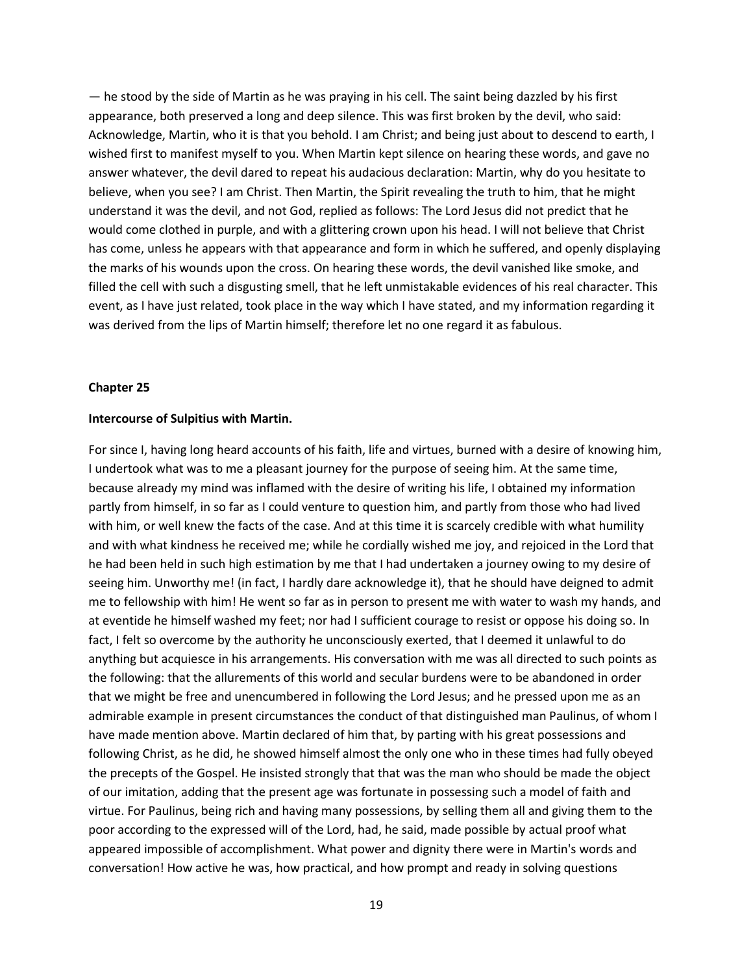— he stood by the side of Martin as he was praying in his cell. The saint being dazzled by his first appearance, both preserved a long and deep silence. This was first broken by the devil, who said: Acknowledge, Martin, who it is that you behold. I am Christ; and being just about to descend to earth, I wished first to manifest myself to you. When Martin kept silence on hearing these words, and gave no answer whatever, the devil dared to repeat his audacious declaration: Martin, why do you hesitate to believe, when you see? I am Christ. Then Martin, the Spirit revealing the truth to him, that he might understand it was the devil, and not God, replied as follows: The Lord Jesus did not predict that he would come clothed in purple, and with a glittering crown upon his head. I will not believe that Christ has come, unless he appears with that appearance and form in which he suffered, and openly displaying the marks of his wounds upon the cross. On hearing these words, the devil vanished like smoke, and filled the cell with such a disgusting smell, that he left unmistakable evidences of his real character. This event, as I have just related, took place in the way which I have stated, and my information regarding it was derived from the lips of Martin himself; therefore let no one regard it as fabulous.

# **Chapter 25**

# **Intercourse of Sulpitius with Martin.**

For since I, having long heard accounts of his faith, life and virtues, burned with a desire of knowing him, I undertook what was to me a pleasant journey for the purpose of seeing him. At the same time, because already my mind was inflamed with the desire of writing his life, I obtained my information partly from himself, in so far as I could venture to question him, and partly from those who had lived with him, or well knew the facts of the case. And at this time it is scarcely credible with what humility and with what kindness he received me; while he cordially wished me joy, and rejoiced in the Lord that he had been held in such high estimation by me that I had undertaken a journey owing to my desire of seeing him. Unworthy me! (in fact, I hardly dare acknowledge it), that he should have deigned to admit me to fellowship with him! He went so far as in person to present me with water to wash my hands, and at eventide he himself washed my feet; nor had I sufficient courage to resist or oppose his doing so. In fact, I felt so overcome by the authority he unconsciously exerted, that I deemed it unlawful to do anything but acquiesce in his arrangements. His conversation with me was all directed to such points as the following: that the allurements of this world and secular burdens were to be abandoned in order that we might be free and unencumbered in following the Lord Jesus; and he pressed upon me as an admirable example in present circumstances the conduct of that distinguished man Paulinus, of whom I have made mention above. Martin declared of him that, by parting with his great possessions and following Christ, as he did, he showed himself almost the only one who in these times had fully obeyed the precepts of the Gospel. He insisted strongly that that was the man who should be made the object of our imitation, adding that the present age was fortunate in possessing such a model of faith and virtue. For Paulinus, being rich and having many possessions, by selling them all and giving them to the poor according to the expressed will of the Lord, had, he said, made possible by actual proof what appeared impossible of accomplishment. What power and dignity there were in Martin's words and conversation! How active he was, how practical, and how prompt and ready in solving questions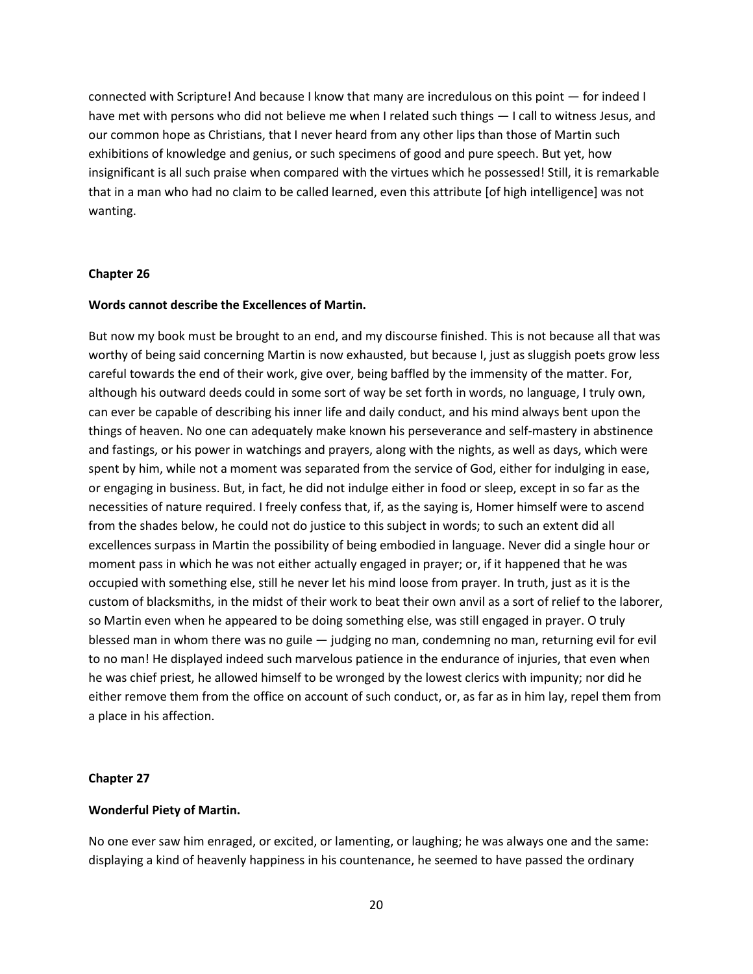connected with Scripture! And because I know that many are incredulous on this point — for indeed I have met with persons who did not believe me when I related such things — I call to witness Jesus, and our common hope as Christians, that I never heard from any other lips than those of Martin such exhibitions of knowledge and genius, or such specimens of good and pure speech. But yet, how insignificant is all such praise when compared with the virtues which he possessed! Still, it is remarkable that in a man who had no claim to be called learned, even this attribute [of high intelligence] was not wanting.

## **Chapter 26**

## **Words cannot describe the Excellences of Martin.**

But now my book must be brought to an end, and my discourse finished. This is not because all that was worthy of being said concerning Martin is now exhausted, but because I, just as sluggish poets grow less careful towards the end of their work, give over, being baffled by the immensity of the matter. For, although his outward deeds could in some sort of way be set forth in words, no language, I truly own, can ever be capable of describing his inner life and daily conduct, and his mind always bent upon the things of heaven. No one can adequately make known his perseverance and self-mastery in abstinence and fastings, or his power in watchings and prayers, along with the nights, as well as days, which were spent by him, while not a moment was separated from the service of God, either for indulging in ease, or engaging in business. But, in fact, he did not indulge either in food or sleep, except in so far as the necessities of nature required. I freely confess that, if, as the saying is, Homer himself were to ascend from the shades below, he could not do justice to this subject in words; to such an extent did all excellences surpass in Martin the possibility of being embodied in language. Never did a single hour or moment pass in which he was not either actually engaged in prayer; or, if it happened that he was occupied with something else, still he never let his mind loose from prayer. In truth, just as it is the custom of blacksmiths, in the midst of their work to beat their own anvil as a sort of relief to the laborer, so Martin even when he appeared to be doing something else, was still engaged in prayer. O truly blessed man in whom there was no guile — judging no man, condemning no man, returning evil for evil to no man! He displayed indeed such marvelous patience in the endurance of injuries, that even when he was chief priest, he allowed himself to be wronged by the lowest clerics with impunity; nor did he either remove them from the office on account of such conduct, or, as far as in him lay, repel them from a place in his affection.

## **Chapter 27**

# **Wonderful Piety of Martin.**

No one ever saw him enraged, or excited, or lamenting, or laughing; he was always one and the same: displaying a kind of heavenly happiness in his countenance, he seemed to have passed the ordinary